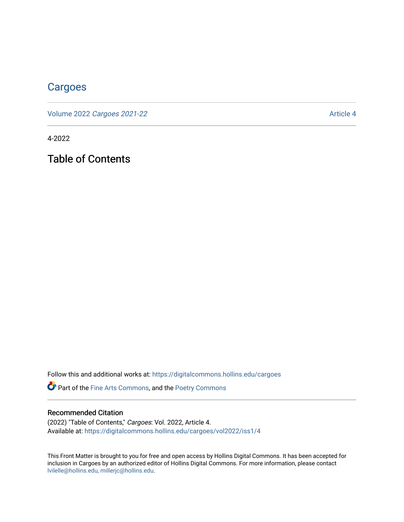# **[Cargoes](https://digitalcommons.hollins.edu/cargoes)**

Volume 2022 [Cargoes 2021-22](https://digitalcommons.hollins.edu/cargoes/vol2022) Article 4

4-2022

Table of Contents

Follow this and additional works at: [https://digitalcommons.hollins.edu/cargoes](https://digitalcommons.hollins.edu/cargoes?utm_source=digitalcommons.hollins.edu%2Fcargoes%2Fvol2022%2Fiss1%2F4&utm_medium=PDF&utm_campaign=PDFCoverPages)

Part of the [Fine Arts Commons,](https://network.bepress.com/hgg/discipline/1141?utm_source=digitalcommons.hollins.edu%2Fcargoes%2Fvol2022%2Fiss1%2F4&utm_medium=PDF&utm_campaign=PDFCoverPages) and the [Poetry Commons](https://network.bepress.com/hgg/discipline/1153?utm_source=digitalcommons.hollins.edu%2Fcargoes%2Fvol2022%2Fiss1%2F4&utm_medium=PDF&utm_campaign=PDFCoverPages) 

#### Recommended Citation

(2022) "Table of Contents," Cargoes: Vol. 2022, Article 4. Available at: [https://digitalcommons.hollins.edu/cargoes/vol2022/iss1/4](https://digitalcommons.hollins.edu/cargoes/vol2022/iss1/4?utm_source=digitalcommons.hollins.edu%2Fcargoes%2Fvol2022%2Fiss1%2F4&utm_medium=PDF&utm_campaign=PDFCoverPages)

This Front Matter is brought to you for free and open access by Hollins Digital Commons. It has been accepted for inclusion in Cargoes by an authorized editor of Hollins Digital Commons. For more information, please contact [lvilelle@hollins.edu, millerjc@hollins.edu.](mailto:lvilelle@hollins.edu,%20millerjc@hollins.edu)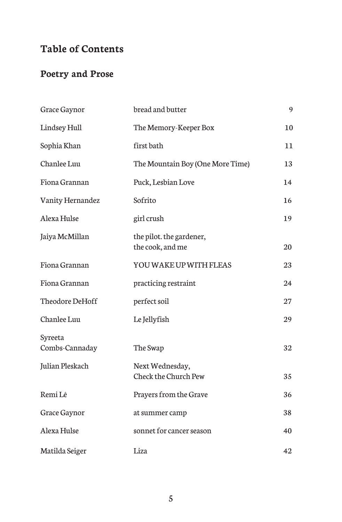## **Table of Contents**

### **Poetry and Prose**

| Grace Gaynor              | bread and butter                               | 9  |
|---------------------------|------------------------------------------------|----|
| Lindsey Hull              | The Memory-Keeper Box                          | 10 |
| Sophia Khan               | first bath                                     | 11 |
| Chanlee Luu               | The Mountain Boy (One More Time)               | 13 |
| Fiona Grannan             | Puck, Lesbian Love                             | 14 |
| Vanity Hernandez          | Sofrito                                        | 16 |
| Alexa Hulse               | girl crush                                     | 19 |
| Jaiya McMillan            | the pilot. the gardener,<br>the cook, and me   | 20 |
| Fiona Grannan             | YOU WAKE UP WITH FLEAS                         | 23 |
| Fiona Grannan             | practicing restraint                           | 24 |
| Theodore DeHoff           | perfect soil                                   | 27 |
| Chanlee Luu               | Le Jellyfish                                   | 29 |
| Syreeta<br>Combs-Cannaday | The Swap                                       | 32 |
| Julian Pleskach           | Next Wednesday,<br><b>Check the Church Pew</b> | 35 |
| Remi Lê                   | Prayers from the Grave                         | 36 |
| Grace Gaynor              | at summer camp                                 | 38 |
| Alexa Hulse               | sonnet for cancer season                       | 40 |
| Matilda Seiger            | Liza                                           | 42 |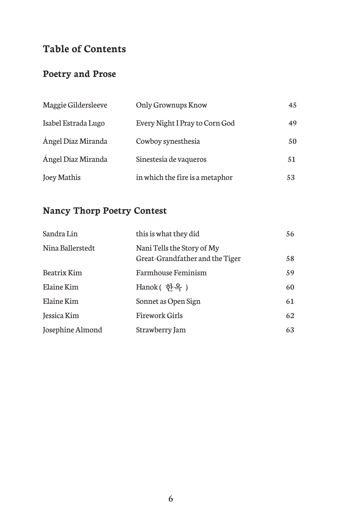## **Table of Contents**

#### **Poetry and Prose**

| Maggie Gildersleeve | Only Grownups Know              | 45 |
|---------------------|---------------------------------|----|
| Isabel Estrada Lugo | Every Night I Pray to Corn God  | 49 |
| Angel Díaz Miranda  | Cowboy synesthesia              | 50 |
| Angel Díaz Miranda  | Sinestesia de vaqueros          | 51 |
| Joey Mathis         | in which the fire is a metaphor | 53 |

#### **Nancy Thorp Poetry Contest**

| Sandra Lin       | this is what they did                                         | 56 |
|------------------|---------------------------------------------------------------|----|
| Nina Ballerstedt | Nani Tells the Story of My<br>Great-Grandfather and the Tiger | 58 |
| Beatrix Kim      | Farmhouse Feminism                                            | 59 |
| Elaine Kim       | Hanok( 한옥 )                                                   | 60 |
| Elaine Kim       | Sonnet as Open Sign                                           | 61 |
| Jessica Kim      | <b>Firework Girls</b>                                         | 62 |
| Josephine Almond | Strawberry Jam                                                | 63 |